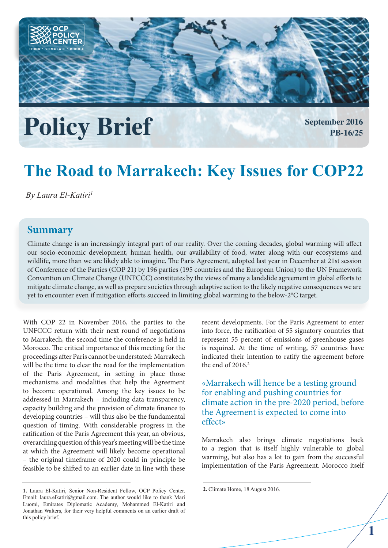

# **Policy Brief September 2016**

**PB-16/25**

# **The Road to Marrakech: Key Issues for COP22**

*By Laura El-Katiri1*

# **Summary**

Climate change is an increasingly integral part of our reality. Over the coming decades, global warming will affect our socio-economic development, human health, our availability of food, water along with our ecosystems and wildlife, more than we are likely able to imagine. The Paris Agreement, adopted last year in December at 21st session of Conference of the Parties (COP 21) by 196 parties (195 countries and the European Union) to the UN Framework Convention on Climate Change (UNFCCC) constitutes by the views of many a landslide agreement in global efforts to mitigate climate change, as well as prepare societies through adaptive action to the likely negative consequences we are yet to encounter even if mitigation efforts succeed in limiting global warming to the below-2°C target.

With COP 22 in November 2016, the parties to the UNFCCC return with their next round of negotiations to Marrakech, the second time the conference is held in Morocco. The critical importance of this meeting for the proceedings after Paris cannot be understated: Marrakech will be the time to clear the road for the implementation of the Paris Agreement, in setting in place those mechanisms and modalities that help the Agreement to become operational. Among the key issues to be addressed in Marrakech – including data transparency, capacity building and the provision of climate finance to developing countries – will thus also be the fundamental question of timing. With considerable progress in the ratification of the Paris Agreement this year, an obvious, overarching question of this year's meeting will be the time at which the Agreement will likely become operational – the original timeframe of 2020 could in principle be feasible to be shifted to an earlier date in line with these

recent developments. For the Paris Agreement to enter into force, the ratification of 55 signatory countries that represent 55 percent of emissions of greenhouse gases is required. At the time of writing, 57 countries have indicated their intention to ratify the agreement before the end of  $2016.<sup>2</sup>$ 

«Marrakech will hence be a testing ground for enabling and pushing countries for climate action in the pre-2020 period, before the Agreement is expected to come into effect»

Marrakech also brings climate negotiations back to a region that is itself highly vulnerable to global warming, but also has a lot to gain from the successful implementation of the Paris Agreement. Morocco itself

**<sup>1.</sup>** Laura El-Katiri, Senior Non-Resident Fellow, OCP Policy Center. Email: laura.elkatiri@gmail.com. The author would like to thank Mari Luomi, Emirates Diplomatic Academy, Mohammed El-Katiri and Jonathan Walters, for their very helpful comments on an earlier draft of this policy brief.

**<sup>2.</sup>** Climate Home, 18 August 2016.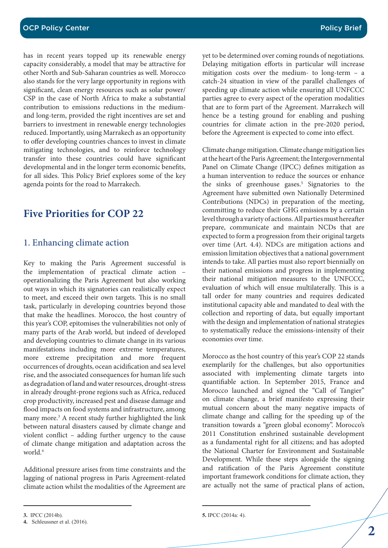has in recent years topped up its renewable energy capacity considerably, a model that may be attractive for other North and Sub-Saharan countries as well. Morocco also stands for the very large opportunity in regions with significant, clean energy resources such as solar power/ CSP in the case of North Africa to make a substantial contribution to emissions reductions in the mediumand long-term, provided the right incentives are set and barriers to investment in renewable energy technologies reduced. Importantly, using Marrakech as an opportunity to offer developing countries chances to invest in climate mitigating technologies, and to reinforce technology transfer into these countries could have significant developmental and in the longer term economic benefits, for all sides. This Policy Brief explores some of the key agenda points for the road to Marrakech.

# **Five Priorities for COP 22**

#### 1. Enhancing climate action

Key to making the Paris Agreement successful is the implementation of practical climate action – operationalizing the Paris Agreement but also working out ways in which its signatories can realistically expect to meet, and exceed their own targets. This is no small task, particularly in developing countries beyond those that make the headlines. Morocco, the host country of this year's COP, epitomises the vulnerabilities not only of many parts of the Arab world, but indeed of developed and developing countries to climate change in its various manifestations including more extreme temperatures, more extreme precipitation and more frequent occurrences of droughts, ocean acidification and sea level rise, and the associated consequences for human life such as degradation of land and water resources, drought-stress in already drought-prone regions such as Africa, reduced crop productivity, increased pest and disease damage and flood impacts on food systems and infrastructure, among many more.<sup>3</sup> A recent study further highlighted the link between natural disasters caused by climate change and violent conflict – adding further urgency to the cause of climate change mitigation and adaptation across the world.4

Additional pressure arises from time constraints and the lagging of national progress in Paris Agreement-related climate action whilst the modalities of the Agreement are yet to be determined over coming rounds of negotiations. Delaying mitigation efforts in particular will increase mitigation costs over the medium- to long-term – a catch-24 situation in view of the parallel challenges of speeding up climate action while ensuring all UNFCCC parties agree to every aspect of the operation modalities that are to form part of the Agreement. Marrakech will hence be a testing ground for enabling and pushing countries for climate action in the pre-2020 period, before the Agreement is expected to come into effect.

Climate change mitigation. Climate change mitigation lies at the heart of the Paris Agreement; the Intergovernmental Panel on Climate Change (IPCC) defines mitigation as a human intervention to reduce the sources or enhance the sinks of greenhouse gases.<sup>5</sup> Signatories to the Agreement have submitted own Nationally Determined Contributions (NDCs) in preparation of the meeting, committing to reduce their GHG emissions by a certain level through a variety of actions. All parties must hereafter prepare, communicate and maintain NCDs that are expected to form a progression from their original targets over time (Art. 4.4). NDCs are mitigation actions and emission limitation objectives that a national government intends to take. All parties must also report biennially on their national emissions and progress in implementing their national mitigation measures to the UNFCCC, evaluation of which will ensue multilaterally. This is a tall order for many countries and requires dedicated institutional capacity able and mandated to deal with the collection and reporting of data, but equally important with the design and implementation of national strategies to systematically reduce the emissions-intensity of their economies over time.

Morocco as the host country of this year's COP 22 stands exemplarily for the challenges, but also opportunities associated with implementing climate targets into quantifiable action. In September 2015, France and Morocco launched and signed the "Call of Tangier" on climate change, a brief manifesto expressing their mutual concern about the many negative impacts of climate change and calling for the speeding up of the transition towards a "green global economy". Morocco's 2011 Constitution enshrined sustainable development as a fundamental right for all citizens; and has adopted the National Charter for Environment and Sustainable Development. While these steps alongside the signing and ratification of the Paris Agreement constitute important framework conditions for climate action, they are actually not the same of practical plans of action,

**<sup>3.</sup>** IPCC (2014b).

**<sup>4.</sup>** Schleussner et al. (2016).

**<sup>5.</sup>** IPCC (2014a: 4).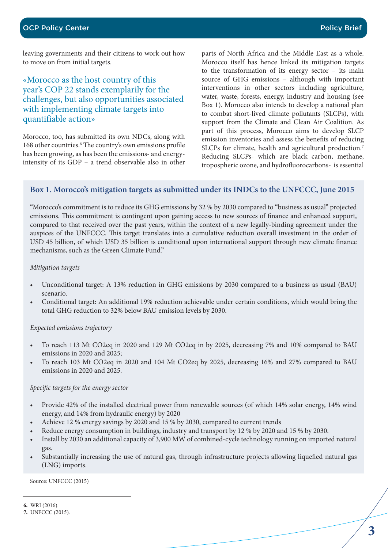leaving governments and their citizens to work out how to move on from initial targets.

## «Morocco as the host country of this year's COP 22 stands exemplarily for the challenges, but also opportunities associated with implementing climate targets into quantifiable action»

Morocco, too, has submitted its own NDCs, along with 168 other countries.<sup>6</sup> The country's own emissions profile has been growing, as has been the emissions- and energyintensity of its GDP – a trend observable also in other

parts of North Africa and the Middle East as a whole. Morocco itself has hence linked its mitigation targets to the transformation of its energy sector – its main source of GHG emissions – although with important interventions in other sectors including agriculture, water, waste, forests, energy, industry and housing (see Box 1). Morocco also intends to develop a national plan to combat short-lived climate pollutants (SLCPs), with support from the Climate and Clean Air Coalition. As part of this process, Morocco aims to develop SLCP emission inventories and assess the benefits of reducing SLCPs for climate, health and agricultural production.<sup>7</sup> Reducing SLCPs- which are black carbon, methane, tropospheric ozone, and hydrofluorocarbons- is essential

#### **Box 1. Morocco's mitigation targets as submitted under its INDCs to the UNFCCC, June 2015**

"Morocco's commitment is to reduce its GHG emissions by 32 % by 2030 compared to "business as usual" projected emissions. This commitment is contingent upon gaining access to new sources of finance and enhanced support, compared to that received over the past years, within the context of a new legally-binding agreement under the auspices of the UNFCCC. This target translates into a cumulative reduction overall investment in the order of USD 45 billion, of which USD 35 billion is conditional upon international support through new climate finance mechanisms, such as the Green Climate Fund."

#### *Mitigation targets*

- Unconditional target: A 13% reduction in GHG emissions by 2030 compared to a business as usual (BAU) scenario.
- Conditional target: An additional 19% reduction achievable under certain conditions, which would bring the total GHG reduction to 32% below BAU emission levels by 2030.

#### *Expected emissions trajectory*

- To reach 113 Mt CO2eq in 2020 and 129 Mt CO2eq in by 2025, decreasing 7% and 10% compared to BAU emissions in 2020 and 2025;
- To reach 103 Mt CO2eq in 2020 and 104 Mt CO2eq by 2025, decreasing 16% and 27% compared to BAU emissions in 2020 and 2025.

#### *Specific targets for the energy sector*

- Provide 42% of the installed electrical power from renewable sources (of which 14% solar energy, 14% wind energy, and 14% from hydraulic energy) by 2020
- Achieve 12 % energy savings by 2020 and 15 % by 2030, compared to current trends
- Reduce energy consumption in buildings, industry and transport by 12 % by 2020 and 15 % by 2030.
- Install by 2030 an additional capacity of 3,900 MW of combined-cycle technology running on imported natural gas.
- Substantially increasing the use of natural gas, through infrastructure projects allowing liquefied natural gas (LNG) imports.

Source: UNFCCC (2015)

**<sup>6.</sup>** WRI (2016).

**<sup>7.</sup>** UNFCCC (2015).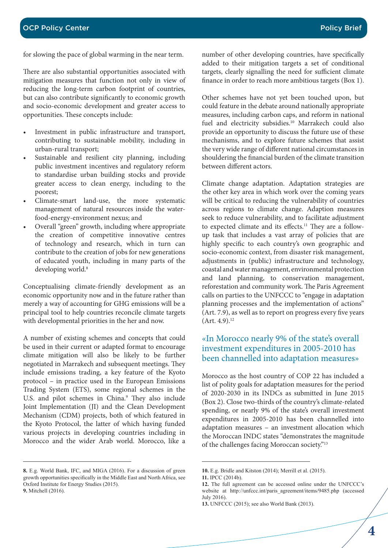for slowing the pace of global warming in the near term.

There are also substantial opportunities associated with mitigation measures that function not only in view of reducing the long-term carbon footprint of countries, but can also contribute significantly to economic growth and socio-economic development and greater access to opportunities. These concepts include:

- Investment in public infrastructure and transport, contributing to sustainable mobility, including in urban-rural transport;
- Sustainable and resilient city planning, including public investment incentives and regulatory reform to standardise urban building stocks and provide greater access to clean energy, including to the poorest;
- Climate-smart land-use, the more systematic management of natural resources inside the waterfood-energy-environment nexus; and
- Overall "green" growth, including where appropriate the creation of competitive innovative centres of technology and research, which in turn can contribute to the creation of jobs for new generations of educated youth, including in many parts of the developing world.<sup>8</sup>

Conceptualising climate-friendly development as an economic opportunity now and in the future rather than merely a way of accounting for GHG emissions will be a principal tool to help countries reconcile climate targets with developmental priorities in the her and now.

A number of existing schemes and concepts that could be used in their current or adapted format to encourage climate mitigation will also be likely to be further negotiated in Marrakech and subsequent meetings. They include emissions trading, a key feature of the Kyoto protocol – in practice used in the European Emissions Trading System (ETS), some regional schemes in the U.S. and pilot schemes in China.<sup>9</sup> They also include Joint Implementation (JI) and the Clean Development Mechanism (CDM) projects, both of which featured in the Kyoto Protocol, the latter of which having funded various projects in developing countries including in Morocco and the wider Arab world. Morocco, like a

number of other developing countries, have specifically added to their mitigation targets a set of conditional targets, clearly signalling the need for sufficient climate finance in order to reach more ambitious targets (Box 1).

Other schemes have not yet been touched upon, but could feature in the debate around nationally appropriate measures, including carbon caps, and reform in national fuel and electricity subsidies.<sup>10</sup> Marrakech could also provide an opportunity to discuss the future use of these mechanisms, and to explore future schemes that assist the very wide range of different national circumstances in shouldering the financial burden of the climate transition between different actors.

Climate change adaptation. Adaptation strategies are the other key area in which work over the coming years will be critical to reducing the vulnerability of countries across regions to climate change. Adaption measures seek to reduce vulnerability, and to facilitate adjustment to expected climate and its effects.<sup>11</sup> They are a followup task that includes a vast array of policies that are highly specific to each country's own geographic and socio-economic context, from disaster risk management, adjustments in (public) infrastructure and technology, coastal and water management, environmental protection and land planning, to conservation management, reforestation and community work. The Paris Agreement calls on parties to the UNFCCC to "engage in adaptation planning processes and the implementation of actions" (Art. 7.9), as well as to report on progress every five years  $(Art. 4.9).<sup>12</sup>$ 

## «In Morocco nearly 9% of the state's overall investment expenditures in 2005-2010 has been channelled into adaptation measures»

Morocco as the host country of COP 22 has included a list of polity goals for adaptation measures for the period of 2020-2030 in its INDCs as submitted in June 2015 (Box 2). Close two-thirds of the country's climate-related spending, or nearly 9% of the state's overall investment expenditures in 2005-2010 has been channelled into adaptation measures – an investment allocation which the Moroccan INDC states "demonstrates the magnitude of the challenges facing Moroccan society."13

**<sup>8.</sup>** E.g. World Bank, IFC, and MIGA (2016). For a discussion of green growth opportunities specifically in the Middle East and North Africa, see Oxford Institute for Energy Studies (2015).

**<sup>9.</sup>** Mitchell (2016).

**<sup>10.</sup>** E.g. Bridle and Kitston (2014); Merrill et al. (2015).

**<sup>11.</sup>** IPCC (2014b).

**<sup>12.</sup>** The full agreement can be accessed online under the UNFCCC's website at http://unfccc.int/paris\_agreement/items/9485.php (accessed July 2016).

**<sup>13.</sup>** UNFCCC (2015); see also World Bank (2013).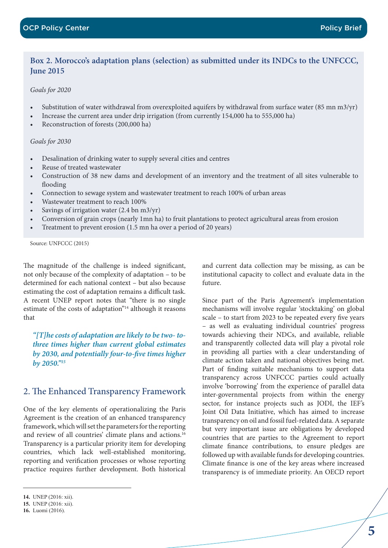#### **Box 2. Morocco's adaptation plans (selection) as submitted under its INDCs to the UNFCCC, June 2015**

#### *Goals for 2020*

- Substitution of water withdrawal from overexploited aquifers by withdrawal from surface water (85 mn m3/yr)
- Increase the current area under drip irrigation (from currently 154,000 ha to 555,000 ha)
- Reconstruction of forests (200,000 ha)

#### *Goals for 2030*

- Desalination of drinking water to supply several cities and centres
- Reuse of treated wastewater
- Construction of 38 new dams and development of an inventory and the treatment of all sites vulnerable to flooding
- Connection to sewage system and wastewater treatment to reach 100% of urban areas
- Wastewater treatment to reach 100%
- Savings of irrigation water  $(2.4 \text{ bn m}^3/\text{yr})$
- Conversion of grain crops (nearly 1mn ha) to fruit plantations to protect agricultural areas from erosion
- Treatment to prevent erosion (1.5 mn ha over a period of 20 years)

Source: UNFCCC (2015)

The magnitude of the challenge is indeed significant, not only because of the complexity of adaptation – to be determined for each national context – but also because estimating the cost of adaptation remains a difficult task. A recent UNEP report notes that "there is no single estimate of the costs of adaptation"14 although it reasons that

*"[T]he costs of adaptation are likely to be two- tothree times higher than current global estimates by 2030, and potentially four-to-five times higher by 2050."15*

## 2. The Enhanced Transparency Framework

One of the key elements of operationalizing the Paris Agreement is the creation of an enhanced transparency framework, which will set the parameters for the reporting and review of all countries' climate plans and actions.<sup>16</sup> Transparency is a particular priority item for developing countries, which lack well-established monitoring, reporting and verification processes or whose reporting practice requires further development. Both historical

and current data collection may be missing, as can be institutional capacity to collect and evaluate data in the future.

Since part of the Paris Agreement's implementation mechanisms will involve regular 'stocktaking' on global scale – to start from 2023 to be repeated every five years – as well as evaluating individual countries' progress towards achieving their NDCs, and available, reliable and transparently collected data will play a pivotal role in providing all parties with a clear understanding of climate action taken and national objectives being met. Part of finding suitable mechanisms to support data transparency across UNFCCC parties could actually involve 'borrowing' from the experience of parallel data inter-governmental projects from within the energy sector, for instance projects such as JODI, the IEF's Joint Oil Data Initiative, which has aimed to increase transparency on oil and fossil fuel-related data. A separate but very important issue are obligations by developed countries that are parties to the Agreement to report climate finance contributions, to ensure pledges are followed up with available funds for developing countries. Climate finance is one of the key areas where increased transparency is of immediate priority. An OECD report

**<sup>14.</sup>** UNEP (2016: xii).

**<sup>15.</sup>** UNEP (2016: xii).

**<sup>16.</sup>** Luomi (2016).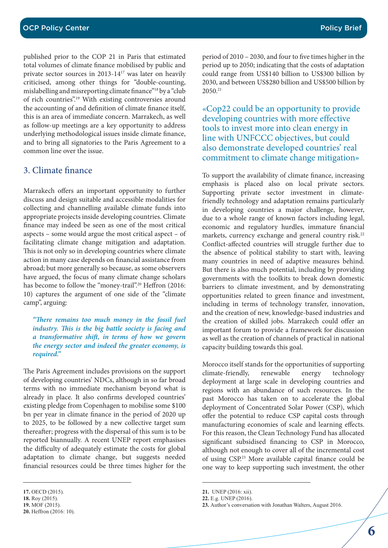published prior to the COP 21 in Paris that estimated total volumes of climate finance mobilised by public and private sector sources in 2013-1417 was later on heavily criticised, among other things for "double-counting, mislabelling and misreporting climate finance"18 by a "club of rich countries".19 With existing controversies around the accounting of and definition of climate finance itself, this is an area of immediate concern. Marrakech, as well as follow-up meetings are a key opportunity to address underlying methodological issues inside climate finance, and to bring all signatories to the Paris Agreement to a common line over the issue.

## 3. Climate finance

Marrakech offers an important opportunity to further discuss and design suitable and accessible modalities for collecting and channelling available climate funds into appropriate projects inside developing countries. Climate finance may indeed be seen as one of the most critical aspects – some would argue the most critical aspect – of facilitating climate change mitigation and adaptation. This is not only so in developing countries where climate action in many case depends on financial assistance from abroad; but more generally so because, as some observers have argued, the focus of many climate change scholars has become to follow the "money-trail".<sup>20</sup> Heffron (2016: 10) captures the argument of one side of the "climate camp", arguing:

*"There remains too much money in the fossil fuel industry. This is the big battle society is facing and a transformative shift, in terms of how we govern the energy sector and indeed the greater economy, is required."*

The Paris Agreement includes provisions on the support of developing countries' NDCs, although in so far broad terms with no immediate mechanism beyond what is already in place. It also confirms developed countries' existing pledge from Copenhagen to mobilise some \$100 bn per year in climate finance in the period of 2020 up to 2025, to be followed by a new collective target sum thereafter; progress with the dispersal of this sum is to be reported biannually. A recent UNEP report emphasises the difficulty of adequately estimate the costs for global adaptation to climate change, but suggests needed financial resources could be three times higher for the

period of 2010 – 2030, and four to five times higher in the period up to 2050; indicating that the costs of adaptation could range from US\$140 billion to US\$300 billion by 2030, and between US\$280 billion and US\$500 billion by 2050.21

«Cop22 could be an opportunity to provide developing countries with more effective tools to invest more into clean energy in line with UNFCCC objectives, but could also demonstrate developed countries' real commitment to climate change mitigation»

To support the availability of climate finance, increasing emphasis is placed also on local private sectors. Supporting private sector investment in climatefriendly technology and adaptation remains particularly in developing countries a major challenge, however, due to a whole range of known factors including legal, economic and regulatory hurdles, immature financial markets, currency exchange and general country risk.<sup>22</sup> Conflict-affected countries will struggle further due to the absence of political stability to start with, leaving many countries in need of adaptive measures behind. But there is also much potential, including by providing governments with the toolkits to break down domestic barriers to climate investment, and by demonstrating opportunities related to green finance and investment, including in terms of technology transfer, innovation, and the creation of new, knowledge-based industries and the creation of skilled jobs. Marrakech could offer an important forum to provide a framework for discussion as well as the creation of channels of practical in national capacity building towards this goal.

Morocco itself stands for the opportunities of supporting climate-friendly, renewable energy technology deployment at large scale in developing countries and regions with an abundance of such resources. In the past Morocco has taken on to accelerate the global deployment of Concentrated Solar Power (CSP), which offer the potential to reduce CSP capital costs through manufacturing economies of scale and learning effects. For this reason, the Clean Technology Fund has allocated significant subsidised financing to CSP in Morocco, although not enough to cover all of the incremental cost of using CSP.23 More available capital finance could be one way to keep supporting such investment, the other

**<sup>17.</sup>** OECD (2015).

**<sup>18.</sup>** Roy (2015).

**<sup>19.</sup>** MOF (2015).

**<sup>20.</sup>** Heffron (2016: 10).

**<sup>21.</sup>** UNEP (2016: xii).

**<sup>22.</sup>** E.g. UNEP (2016).

**<sup>23.</sup>** Author's conversation with Jonathan Walters, August 2016.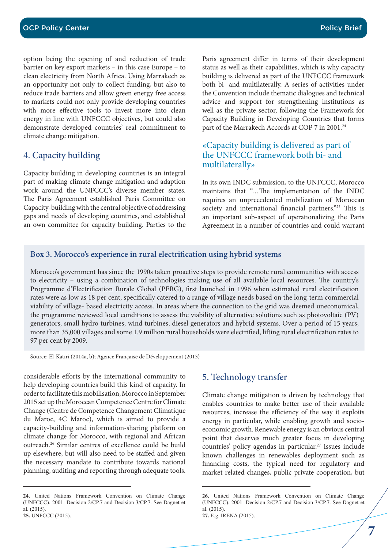option being the opening of and reduction of trade barrier on key export markets – in this case Europe – to clean electricity from North Africa. Using Marrakech as an opportunity not only to collect funding, but also to reduce trade barriers and allow green energy free access to markets could not only provide developing countries with more effective tools to invest more into clean energy in line with UNFCCC objectives, but could also demonstrate developed countries' real commitment to climate change mitigation.

#### 4. Capacity building

Capacity building in developing countries is an integral part of making climate change mitigation and adaption work around the UNFCCC's diverse member states. The Paris Agreement established Paris Committee on Capacity-building with the central objective of addressing gaps and needs of developing countries, and established an own committee for capacity building. Parties to the Paris agreement differ in terms of their development status as well as their capabilities, which is why capacity building is delivered as part of the UNFCCC framework both bi- and multilaterally. A series of activities under the Convention include thematic dialogues and technical advice and support for strengthening institutions as well as the private sector, following the Framework for Capacity Building in Developing Countries that forms part of the Marrakech Accords at COP 7 in 2001.<sup>24</sup>

#### «Capacity building is delivered as part of the UNFCCC framework both bi- and multilaterally»

In its own INDC submission, to the UNFCCC, Morocco maintains that "…The implementation of the INDC requires an unprecedented mobilization of Moroccan society and international financial partners."<sup>25</sup> This is an important sub-aspect of operationalizing the Paris Agreement in a number of countries and could warrant

#### **Box 3. Morocco's experience in rural electrification using hybrid systems**

Morocco's government has since the 1990s taken proactive steps to provide remote rural communities with access to electricity – using a combination of technologies making use of all available local resources. The country's Programme d'Électrification Rurale Global (PERG), first launched in 1996 when estimated rural electrification rates were as low as 18 per cent, specifically catered to a range of village needs based on the long-term commercial viability of village- based electricity access. In areas where the connection to the grid was deemed uneconomical, the programme reviewed local conditions to assess the viability of alternative solutions such as photovoltaic (PV) generators, small hydro turbines, wind turbines, diesel generators and hybrid systems. Over a period of 15 years, more than 35,000 villages and some 1.9 million rural households were electrified, lifting rural electrification rates to 97 per cent by 2009.

Source: El-Katiri (2014a, b); Agence Française de Développement (2013)

considerable efforts by the international community to help developing countries build this kind of capacity. In order to facilitate this mobilisation, Morocco in September 2015 set up the Moroccan Competence Centre for Climate Change (Centre de Competence Changement Climatique du Maroc, 4C Maroc), which is aimed to provide a capacity-building and information-sharing platform on climate change for Morocco, with regional and African outreach.26 Similar centres of excellence could be build up elsewhere, but will also need to be staffed and given the necessary mandate to contribute towards national planning, auditing and reporting through adequate tools.

#### 5. Technology transfer

Climate change mitigation is driven by technology that enables countries to make better use of their available resources, increase the efficiency of the way it exploits energy in particular, while enabling growth and socioeconomic growth. Renewable energy is an obvious central point that deserves much greater focus in developing countries' policy agendas in particular.<sup>27</sup> Issues include known challenges in renewables deployment such as financing costs, the typical need for regulatory and market-related changes, public-private cooperation, but

**<sup>24.</sup>** United Nations Framework Convention on Climate Change (UNFCCC). 2001. Decision 2/CP.7 and Decision 3/CP.7. See Dagnet et al. (2015). **25.** UNFCCC (2015).

**<sup>26.</sup>** United Nations Framework Convention on Climate Change (UNFCCC). 2001. Decision 2/CP.7 and Decision 3/CP.7. See Dagnet et al. (2015). **27.** E.g. IRENA (2015).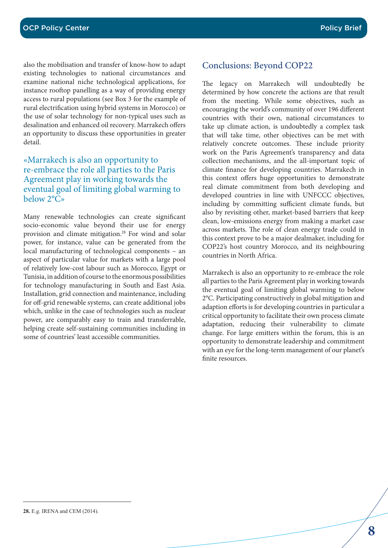also the mobilisation and transfer of know-how to adapt existing technologies to national circumstances and examine national niche technological applications, for instance rooftop panelling as a way of providing energy access to rural populations (see Box 3 for the example of rural electrification using hybrid systems in Morocco) or the use of solar technology for non-typical uses such as desalination and enhanced oil recovery. Marrakech offers an opportunity to discuss these opportunities in greater detail.

## «Marrakech is also an opportunity to re-embrace the role all parties to the Paris Agreement play in working towards the eventual goal of limiting global warming to below 2°C»

Many renewable technologies can create significant socio-economic value beyond their use for energy provision and climate mitigation.28 For wind and solar power, for instance, value can be generated from the local manufacturing of technological components – an aspect of particular value for markets with a large pool of relatively low-cost labour such as Morocco, Egypt or Tunisia, in addition of course to the enormous possibilities for technology manufacturing in South and East Asia. Installation, grid connection and maintenance, including for off-grid renewable systems, can create additional jobs which, unlike in the case of technologies such as nuclear power, are comparably easy to train and transferrable, helping create self-sustaining communities including in some of countries' least accessible communities.

# Conclusions: Beyond COP22

The legacy on Marrakech will undoubtedly be determined by how concrete the actions are that result from the meeting. While some objectives, such as encouraging the world's community of over 196 different countries with their own, national circumstances to take up climate action, is undoubtedly a complex task that will take time, other objectives can be met with relatively concrete outcomes. These include priority work on the Paris Agreement's transparency and data collection mechanisms, and the all-important topic of climate finance for developing countries. Marrakech in this context offers huge opportunities to demonstrate real climate commitment from both developing and developed countries in line with UNFCCC objectives, including by committing sufficient climate funds, but also by revisiting other, market-based barriers that keep clean, low-emissions energy from making a market case across markets. The role of clean energy trade could in this context prove to be a major dealmaker, including for COP22's host country Morocco, and its neighbouring countries in North Africa.

Marrakech is also an opportunity to re-embrace the role all parties to the Paris Agreement play in working towards the eventual goal of limiting global warming to below 2°C. Participating constructively in global mitigation and adaption efforts is for developing countries in particular a critical opportunity to facilitate their own process climate adaptation, reducing their vulnerability to climate change. For large emitters within the forum, this is an opportunity to demonstrate leadership and commitment with an eye for the long-term management of our planet's finite resources.

**<sup>28.</sup>** E.g. IRENA and CEM (2014).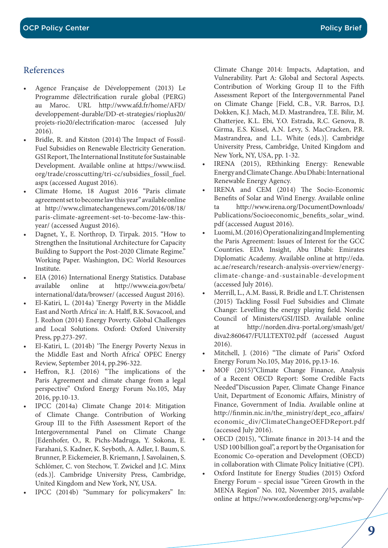# References

- Agence Française de Développement (2013) Le Programme d'électrification rurale global (PERG) au Maroc. URL http://www.afd.fr/home/AFD/ developpement-durable/DD-et-strategies/ rioplus20/ projets-rio20/electrification-maroc (accessed July 2016).
- Bridle, R. and Kitston (2014) The Impact of Fossil-Fuel Subsidies on Renewable Electricity Generation. GSI Report, The International Institute for Sustainable Development. Available online at https://www.iisd. org/trade/crosscutting/tri-cc/subsidies\_fossil\_fuel. aspx (accessed August 2016).
- Climate Home, 18 August 2016 "Paris climate agreement set to become law this year" available online at http://www.climatechangenews.com/2016/08/18/ paris-climate-agreement-set-to-become-law-thisyear/ (accessed August 2016).
- Dagnet, Y., E. Northrop, D. Tirpak. 2015. "How to Strengthen the Insitutional Architecture for Capacity Building to Support the Post-2020 Climate Regime." Working Paper. Washington, DC: World Resources Institute.
- EIA (2016) International Energy Statistics. Database available online at http://www.eia.gov/beta/ international/data/browser/ (accessed August 2016).
- El-Katiri, L. (2014a) 'Energy Poverty in the Middle East and North Africa' in: A. Halff, B.K. Sovacool, and J. Rozhon (2014) Energy Poverty. Global Challenges and Local Solutions. Oxford: Oxford University Press, pp.273-297.
- El-Katiri, L. (2014b) 'The Energy Poverty Nexus in the Middle East and North Africa' OPEC Energy Review, September 2014, pp.296-322.
- Heffron, R.J. (2016) "The implications of the Paris Agreement and climate change from a legal perspective" Oxford Energy Forum No.105, May 2016, pp.10-13.
- IPCC (2014a) Climate Change 2014: Mitigation of Climate Change. Contribution of Working Group III to the Fifth Assessment Report of the Intergovernmental Panel on Climate Change [Edenhofer, O., R. Pichs-Madruga, Y. Sokona, E. Farahani, S. Kadner, K. Seyboth, A. Adler, I. Baum, S. Brunner, P. Eickemeier, B. Kriemann, J. Savolainen, S. Schlömer, C. von Stechow, T. Zwickel and J.C. Minx (eds.)]. Cambridge University Press, Cambridge, United Kingdom and New York, NY, USA.
- IPCC (2014b) "Summary for policymakers" In:

Climate Change 2014: Impacts, Adaptation, and Vulnerability. Part A: Global and Sectoral Aspects. Contribution of Working Group II to the Fifth Assessment Report of the Intergovernmental Panel on Climate Change [Field, C.B., V.R. Barros, D.J. Dokken, K.J. Mach, M.D. Mastrandrea, T.E. Bilir, M. Chatterjee, K.L. Ebi, Y.O. Estrada, R.C. Genova, B. Girma, E.S. Kissel, A.N. Levy, S. MacCracken, P.R. Mastrandrea, and L.L. White (eds.)]. Cambridge University Press, Cambridge, United Kingdom and New York, NY, USA, pp. 1-32.

- IRENA (2015), REthinking Energy: Renewable Energy and Climate Change. Abu Dhabi: International Renewable Energy Agency.
- IRENA and CEM (2014) The Socio-Economic Benefits of Solar and Wind Energy. Available online ta http://www.irena.org/DocumentDownloads/ Publications/Socioeconomic\_benefits\_solar\_wind. pdf (accessed August 2016).
- Luomi, M. (2016) Operationalizing and Implementing the Paris Agreement: Issues of Interest for the GCC Countries. EDA Insight, Abu Dhabi: Emirates Diplomatic Academy. Available online at http://eda. ac.ae/research/research-analysis-overview/energyclimate-change-and-sustainable-development (accessed July 2016).
- Merrill, L., A.M. Bassi, R. Bridle and L.T. Christensen (2015) Tackling Fossil Fuel Subsidies and Climate Change: Levelling the energy playing field. Nordic Council of Ministers/GSI/IISD. Available online at http://norden.diva-portal.org/smash/get/ diva2:860647/FULLTEXT02.pdf (accessed August 2016).
- Mitchell, J. (2016) "The climate of Paris" Oxford Energy Forum No.105, May 2016, pp.13-16.
- MOF (2015)"Climate Change Finance, Analysis of a Recent OECD Report: Some Credible Facts Needed"Discussion Paper, Climate Change Finance Unit, Department of Economic Affairs, Ministry of Finance, Government of India. Available online at http://finmin.nic.in/the\_ministry/dept\_eco\_affairs/ economic\_div/ClimateChangeOEFDReport.pdf (accessed July 2016).
- OECD (2015), "Climate finance in 2013-14 and the USD 100 billion goal", a report by the Organisation for Economic Co-operation and Development (OECD) in collaboration with Climate Policy Initiative (CPI).
- Oxford Institute for Energy Studies (2015) Oxford Energy Forum – special issue "Green Growth in the MENA Region" No. 102, November 2015, available online at https://www.oxfordenergy.org/wpcms/wp-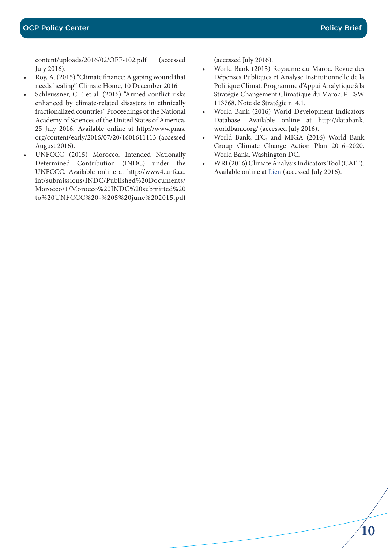content/uploads/2016/02/OEF-102.pdf (accessed July 2016).

- Roy, A. (2015) "Climate finance: A gaping wound that needs healing" Climate Home, 10 December 2016
- Schleussner, C.F. et al. (2016) "Armed-conflict risks enhanced by climate-related disasters in ethnically fractionalized countries" Proceedings of the National Academy of Sciences of the United States of America, 25 July 2016. Available online at http://www.pnas. org/content/early/2016/07/20/1601611113 (accessed August 2016).
- UNFCCC (2015) Morocco. Intended Nationally Determined Contribution (INDC) under the UNFCCC. Available online at http://www4.unfccc. int/submissions/INDC/Published%20Documents/ Morocco/1/Morocco%20INDC%20submitted%20 to%20UNFCCC%20-%205%20june%202015.pdf

(accessed July 2016).

- World Bank (2013) Royaume du Maroc. Revue des Dépenses Publiques et Analyse Institutionnelle de la Politique Climat. Programme d'Appui Analytique à la Stratégie Changement Climatique du Maroc. P-ESW 113768. Note de Stratégie n. 4.1.
- World Bank (2016) World Development Indicators Database. Available online at http://databank. worldbank.org/ (accessed July 2016).
- World Bank, IFC, and MIGA (2016) World Bank Group Climate Change Action Plan 2016–2020. World Bank, Washington DC.
- WRI (2016) Climate Analysis Indicators Tool (CAIT). Available online at Lien (accessed July 2016).